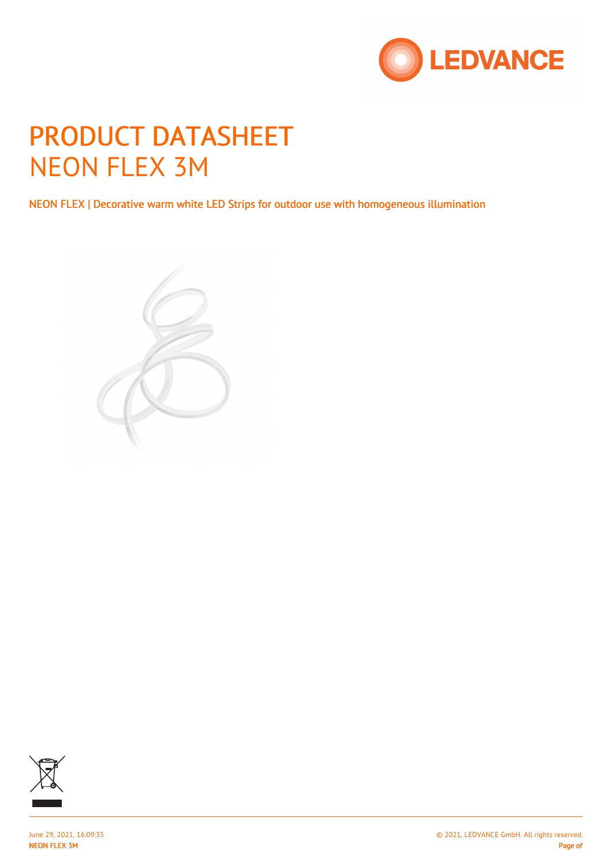

# PRODUCT DATASHEET NEON FLEX 3M

NEON FLEX | Decorative warm white LED Strips for outdoor use with homogeneous illumination





NEON FLEX 3M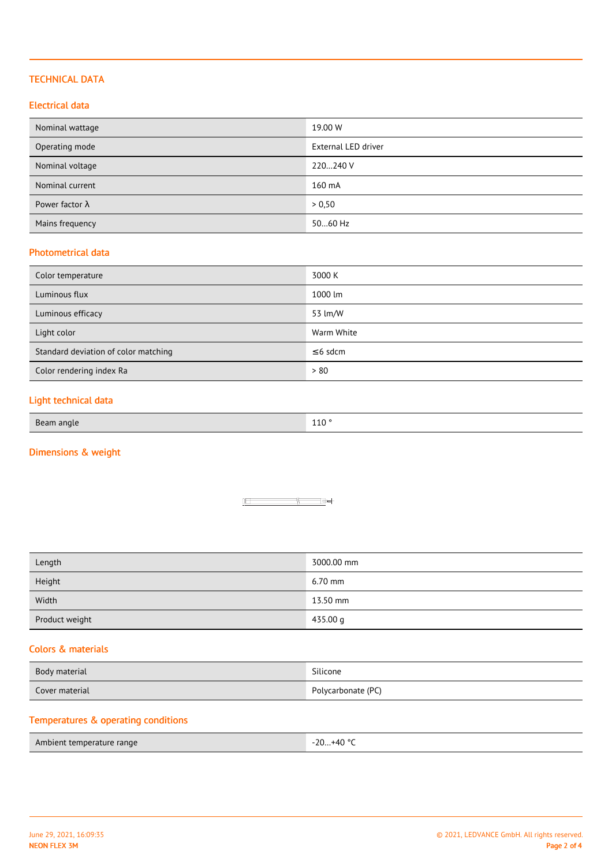#### TECHNICAL DATA

#### Electrical data

| Nominal wattage        | 19.00 W                    |
|------------------------|----------------------------|
| Operating mode         | <b>External LED driver</b> |
| Nominal voltage        | 220240 V                   |
| Nominal current        | 160 mA                     |
| Power factor $\lambda$ | > 0,50                     |
| Mains frequency        | 5060 Hz                    |

#### Photometrical data

| Color temperature                    | 3000 K        |
|--------------------------------------|---------------|
| Luminous flux                        | 1000 lm       |
| Luminous efficacy                    | 53 lm/W       |
| Light color                          | Warm White    |
| Standard deviation of color matching | $\leq$ 6 sdcm |
| Color rendering index Ra             | > 80          |

## Light technical data

| Beam  |                    |
|-------|--------------------|
| angle | $\Lambda$ $\Omega$ |
| $-$   | TTO                |

# Dimensions & weight



| Length<br>$\sim$ $\sim$ | 3000.00 mm |
|-------------------------|------------|
| Height                  | $6.70$ mm  |
| Width                   | 13.50 mm   |
| Product weight          | 435.00 g   |

#### Colors & materials

| Body material  | Silicone           |
|----------------|--------------------|
| Cover material | Polycarbonate (PC) |

# Temperatures & operating conditions

| Ambient temperature range | $-20+40$ °C |
|---------------------------|-------------|
|                           |             |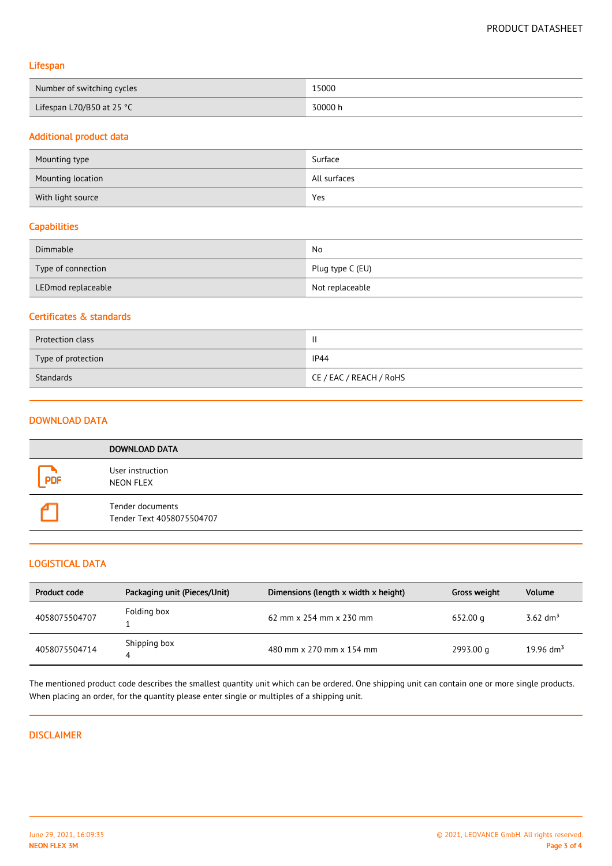#### Lifespan

| Number of switching cycles | 15000   |
|----------------------------|---------|
| Lifespan L70/B50 at 25 °C  | 30000 h |

#### Additional product data

| Mounting type     | Surface      |
|-------------------|--------------|
| Mounting location | All surfaces |
| With light source | Yes          |

#### **Capabilities**

| Dimmable           | No               |
|--------------------|------------------|
| Type of connection | Plug type C (EU) |
| LEDmod replaceable | Not replaceable  |

### Certificates & standards

| Protection class   | $\mathbf{I}$            |
|--------------------|-------------------------|
| Type of protection | IP44                    |
| Standards          | CE / EAC / REACH / RoHS |

#### DOWNLOAD DATA

|            | <b>DOWNLOAD DATA</b>                          |
|------------|-----------------------------------------------|
| <b>PDF</b> | User instruction<br>NEON FLEX                 |
|            | Tender documents<br>Tender Text 4058075504707 |

#### LOGISTICAL DATA

| Product code  | Packaging unit (Pieces/Unit) | Dimensions (length x width x height)  | Gross weight | <b>Volume</b>        |
|---------------|------------------------------|---------------------------------------|--------------|----------------------|
| 4058075504707 | Folding box                  | 62 mm $\times$ 254 mm $\times$ 230 mm | 652.00 g     | 3.62 dm <sup>3</sup> |
| 4058075504714 | Shipping box                 | 480 mm x 270 mm x 154 mm              | 2993.00 g    | 19.96 $\rm{dm}^3$    |

The mentioned product code describes the smallest quantity unit which can be ordered. One shipping unit can contain one or more single products. When placing an order, for the quantity please enter single or multiples of a shipping unit.

#### DISCLAIMER